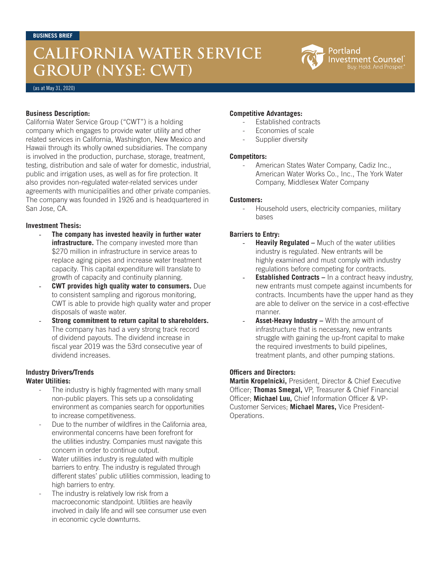## **CALIFORNIA WATER SERVICE GROUP (NYSE: CWT)**



(as at May 31, 2020)

#### **Business Description:**

California Water Service Group ("CWT") is a holding company which engages to provide water utility and other related services in California, Washington, New Mexico and Hawaii through its wholly owned subsidiaries. The company is involved in the production, purchase, storage, treatment, testing, distribution and sale of water for domestic, industrial, public and irrigation uses, as well as for fire protection. It also provides non-regulated water-related services under agreements with municipalities and other private companies. The company was founded in 1926 and is headquartered in San Jose, CA.

#### **Investment Thesis:**

- The company has invested heavily in further water **infrastructure.** The company invested more than \$270 million in infrastructure in service areas to replace aging pipes and increase water treatment capacity. This capital expenditure will translate to growth of capacity and continuity planning.
- **CWT provides high quality water to consumers.** Due to consistent sampling and rigorous monitoring, CWT is able to provide high quality water and proper disposals of waste water.
- **Strong commitment to return capital to shareholders.**  The company has had a very strong track record of dividend payouts. The dividend increase in fiscal year 2019 was the 53rd consecutive year of dividend increases.

#### **Industry Drivers/Trends Water Utilities:**

- The industry is highly fragmented with many small non-public players. This sets up a consolidating environment as companies search for opportunities to increase competitiveness.
- Due to the number of wildfires in the California area. environmental concerns have been forefront for the utilities industry. Companies must navigate this concern in order to continue output.
- Water utilities industry is regulated with multiple barriers to entry. The industry is regulated through different states' public utilities commission, leading to high barriers to entry.
- The industry is relatively low risk from a macroeconomic standpoint. Utilities are heavily involved in daily life and will see consumer use even in economic cycle downturns.

### **Competitive Advantages:**

- Established contracts
- Economies of scale
- Supplier diversity

#### **Competitors:**

American States Water Company, Cadiz Inc., American Water Works Co., Inc., The York Water Company, Middlesex Water Company

#### **Customers:**

Household users, electricity companies, military bases

### **Barriers to Entry:**

- **Heavily Regulated –** Much of the water utilities industry is regulated. New entrants will be highly examined and must comply with industry regulations before competing for contracts.
- **Established Contracts In a contract heavy industry,** new entrants must compete against incumbents for contracts. Incumbents have the upper hand as they are able to deliver on the service in a cost-effective manner.
- Asset-Heavy Industry With the amount of infrastructure that is necessary, new entrants struggle with gaining the up-front capital to make the required investments to build pipelines, treatment plants, and other pumping stations.

## **Officers and Directors:**

**Martin Kropelnicki,** President, Director & Chief Executive Officer; **Thomas Smegal,** VP, Treasurer & Chief Financial Officer; **Michael Luu,** Chief Information Officer & VP-Customer Services; **Michael Mares,** Vice President-Operations.